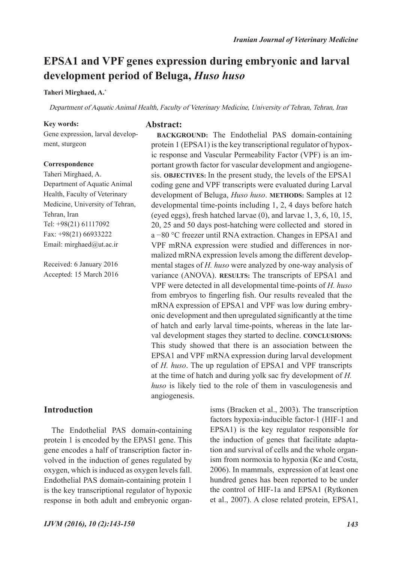# **EPSA1 and VPF genes expression during embryonic and larval development period of Beluga,** *Huso huso*

### **Taheri Mirghaed, A.\***

Department of Aquatic Animal Health, Faculty of Veterinary Medicine, University of Tehran, Tehran, Iran

**Abstract:**

#### **Key words:**

Gene expression, larval development, sturgeon

### **Correspondence**

Taheri Mirghaed, A. Department of Aquatic Animal Health, Faculty of Veterinary Medicine, University of Tehran, Tehran, Iran Tel: +98(21) 61117092 Fax: +98(21) 66933222 Email: mirghaed@ut.ac.ir

Received: 6 January 2016 Accepted: 15 March 2016

## **Introduction**

The Endothelial PAS domain-containing protein 1 is encoded by the EPAS1 gene. This gene encodes a half of transcription factor involved in the induction of genes regulated by oxygen, which is induced as oxygen levels fall. Endothelial PAS domain-containing protein 1 is the key transcriptional regulator of hypoxic response in both adult and embryonic organisms (Bracken et al., 2003). The transcription factors hypoxia-inducible factor-1 (HIF-1 and EPSA1) is the key regulator responsible for the induction of genes that facilitate adaptation and survival of cells and the whole organism from normoxia to hypoxia (Ke and Costa, 2006). In mammals, expression of at least one hundred genes has been reported to be under the control of HIF-1a and EPSA1 (Rytkonen et al., 2007). A close related protein, EPSA1,

protein 1 (EPSA1) is the key transcriptional regulator of hypoxic response and Vascular Permeability Factor (VPF) is an important growth factor for vascular development and angiogenesis. **OBJECTIVES:** In the present study, the levels of the EPSA1 coding gene and VPF transcripts were evaluated during Larval development of Beluga, *Huso huso*. **METHODS:** Samples at 12 developmental time-points including 1, 2, 4 days before hatch (eyed eggs), fresh hatched larvae  $(0)$ , and larvae  $1, 3, 6, 10, 15$ , 20, 25 and 50 days post-hatching were collected and stored in a −80 °C freezer until RNA extraction. Changes in EPSA1 and VPF mRNA expression were studied and differences in normalized mRNA expression levels among the different developmental stages of *H. huso* were analyzed by one-way analysis of variance (ANOVA). **RESULTS:** The transcripts of EPSA1 and VPF were detected in all developmental time-points of *H. huso* from embryos to fingerling fish. Our results revealed that the mRNA expression of EPSA1 and VPF was low during embryonic development and then upregulated significantly at the time of hatch and early larval time-points, whereas in the late larval development stages they started to decline. **CONCLUSIONS:**  This study showed that there is an association between the EPSA1 and VPF mRNA expression during larval development of *H. huso*. The up regulation of EPSA1 and VPF transcripts at the time of hatch and during yolk sac fry development of *H. huso* is likely tied to the role of them in vasculogenesis and angiogenesis.

**BACKGROUND:** The Endothelial PAS domain-containing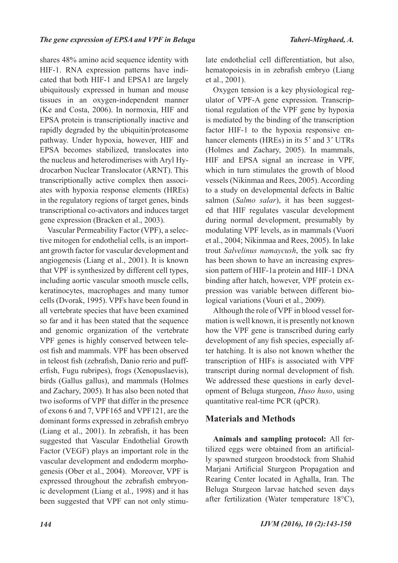shares 48% amino acid sequence identity with HIF-1. RNA expression patterns have indicated that both HIF-1 and EPSA1 are largely ubiquitously expressed in human and mouse tissues in an oxygen-independent manner (Ke and Costa, 2006). In normoxia, HIF and EPSA protein is transcriptionally inactive and rapidly degraded by the ubiquitin/proteasome pathway. Under hypoxia, however, HIF and EPSA becomes stabilized, translocates into the nucleus and heterodimerises with Aryl Hydrocarbon Nuclear Translocator (ARNT). This transcriptionally active complex then associates with hypoxia response elements (HREs) in the regulatory regions of target genes, binds transcriptional co-activators and induces target gene expression (Bracken et al., 2003).

Vascular Permeability Factor (VPF), a selective mitogen for endothelial cells, is an important growth factor for vascular development and angiogenesis (Liang et al., 2001). It is known that VPF is synthesized by different cell types, including aortic vascular smooth muscle cells, keratinocytes, macrophages and many tumor cells (Dvorak, 1995). VPFs have been found in all vertebrate species that have been examined so far and it has been stated that the sequence and genomic organization of the vertebrate VPF genes is highly conserved between teleost fish and mammals. VPF has been observed in teleost fish (zebrafish, Danio rerio and pufferfish, Fugu rubripes), frogs (Xenopuslaevis), birds (Gallus gallus), and mammals (Holmes and Zachary, 2005). It has also been noted that two isoforms of VPF that differ in the presence of exons 6 and 7, VPF165 and VPF121, are the dominant forms expressed in zebrafish embryo (Liang et al., 2001). In zebrafish, it has been suggested that Vascular Endothelial Growth Factor (VEGF) plays an important role in the vascular development and endoderm morphogenesis (Ober et al., 2004). Moreover, VPF is expressed throughout the zebrafish embryonic development (Liang et al., 1998) and it has been suggested that VPF can not only stimulate endothelial cell differentiation, but also, hematopoiesis in in zebrafish embryo (Liang et al., 2001).

Oxygen tension is a key physiological regulator of VPF-A gene expression. Transcriptional regulation of the VPF gene by hypoxia is mediated by the binding of the transcription factor HIF-1 to the hypoxia responsive enhancer elements (HREs) in its 5**´** and 3**´** UTRs (Holmes and Zachary, 2005). In mammals, HIF and EPSA signal an increase in VPF, which in turn stimulates the growth of blood vessels (Nikinmaa and Rees, 2005). According to a study on developmental defects in Baltic salmon (*Salmo salar*), it has been suggested that HIF regulates vascular development during normal development, presumably by modulating VPF levels, as in mammals (Vuori et al., 2004; Nikinmaa and Rees, 2005). In lake trout *Salvelinus namaycush*, the yolk sac fry has been shown to have an increasing expression pattern of HIF-1a protein and HIF-1 DNA binding after hatch, however, VPF protein expression was variable between different biological variations (Vouri et al., 2009).

Although the role of VPF in blood vessel formation is well known, it is presently not known how the VPF gene is transcribed during early development of any fish species, especially after hatching. It is also not known whether the transcription of HIFs is associated with VPF transcript during normal development of fish. We addressed these questions in early development of Beluga sturgeon, *Huso huso*, using quantitative real-time PCR (qPCR).

## **Materials and Methods**

**Animals and sampling protocol:** All fertilized eggs were obtained from an artificially spawned sturgeon broodstock from Shahid Marjani Artificial Sturgeon Propagation and Rearing Center located in Aghalla, Iran. The Beluga Sturgeon larvae hatched seven days after fertilization (Water temperature 18°C),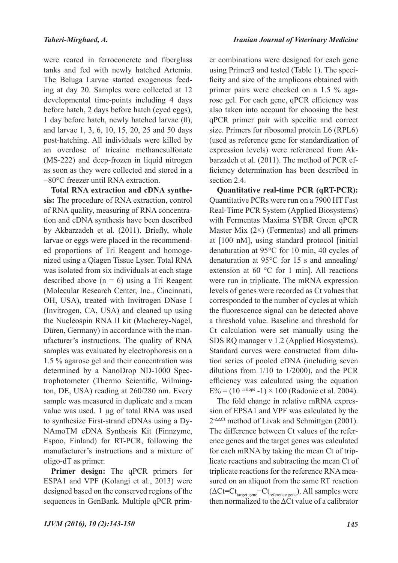were reared in ferroconcrete and fiberglass tanks and fed with newly hatched Artemia. The Beluga Larvae started exogenous feeding at day 20. Samples were collected at 12 developmental time-points including 4 days before hatch, 2 days before hatch (eyed eggs), 1 day before hatch, newly hatched larvae (0), and larvae 1, 3, 6, 10, 15, 20, 25 and 50 days post-hatching. All individuals were killed by an overdose of tricaine methanesulfonate (MS-222) and deep-frozen in liquid nitrogen as soon as they were collected and stored in a −80°C freezer until RNA extraction.

**Total RNA extraction and cDNA synthesis:** The procedure of RNA extraction, control of RNA quality, measuring of RNA concentration and cDNA synthesis have been described by Akbarzadeh et al. (2011). Briefly, whole larvae or eggs were placed in the recommended proportions of Tri Reagent and homogenized using a Qiagen Tissue Lyser. Total RNA was isolated from six individuals at each stage described above  $(n = 6)$  using a Tri Reagent (Molecular Research Center, Inc., Cincinnati, OH, USA), treated with Invitrogen DNase I (Invitrogen, CA, USA) and cleaned up using the Nucleospin RNA II kit (Macherey-Nagel, Düren, Germany) in accordance with the manufacturer's instructions. The quality of RNA samples was evaluated by electrophoresis on a 1.5 % agarose gel and their concentration was determined by a NanoDrop ND-1000 Spectrophotometer (Thermo Scientific, Wilmington, DE, USA) reading at 260/280 nm. Every sample was measured in duplicate and a mean value was used. 1 µg of total RNA was used to synthesize First-strand cDNAs using a Dy-NAmoTM cDNA Synthesis Kit (Finnzyme, Espoo, Finland) for RT-PCR, following the manufacturer's instructions and a mixture of oligo-dT as primer.

**Primer design:** The qPCR primers for ESPA1 and VPF (Kolangi et al., 2013) were designed based on the conserved regions of the sequences in GenBank. Multiple qPCR prim-

er combinations were designed for each gene using Primer3 and tested (Table 1). The specificity and size of the amplicons obtained with primer pairs were checked on a 1.5 % agarose gel. For each gene, qPCR efficiency was also taken into account for choosing the best qPCR primer pair with specific and correct size. Primers for ribosomal protein L6 (RPL6) (used as reference gene for standardization of expression levels) were referenced from Akbarzadeh et al. (2011). The method of PCR efficiency determination has been described in section 2.4.

**Quantitative real-time PCR (qRT-PCR):**  Quantitative PCRs were run on a 7900 HT Fast Real-Time PCR System (Applied Biosystems) with Fermentas Maxima SYBR Green qPCR Master Mix  $(2)$  (Fermentas) and all primers at [100 nM], using standard protocol [initial denaturation at 95°C for 10 min, 40 cycles of denaturation at 95°C for 15 s and annealing/ extension at 60 °C for 1 min]. All reactions were run in triplicate. The mRNA expression levels of genes were recorded as Ct values that corresponded to the number of cycles at which the fluorescence signal can be detected above a threshold value. Baseline and threshold for Ct calculation were set manually using the SDS RQ manager v 1.2 (Applied Biosystems). Standard curves were constructed from dilution series of pooled cDNA (including seven dilutions from 1/10 to 1/2000), and the PCR efficiency was calculated using the equation  $E\% = (10^{1/\text{slope}} - 1) \times 100$  (Radonic et al. 2004).

The fold change in relative mRNA expression of EPSA1 and VPF was calculated by the 2-ΔΔCt method of Livak and Schmittgen (2001). The difference between Ct values of the reference genes and the target genes was calculated for each mRNA by taking the mean Ct of triplicate reactions and subtracting the mean Ct of triplicate reactions for the reference RNA measured on an aliquot from the same RT reaction  $(\Delta \text{Ct}=\text{Ct}_{\text{target gene}}-\text{Ct}_{\text{reference gene}})$ . All samples were then normalized to the  $\Delta$ Ct value of a calibrator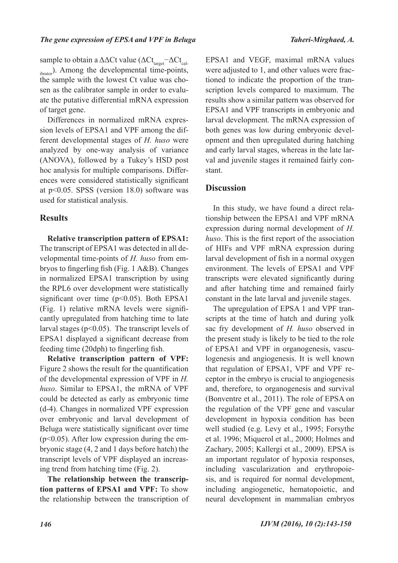sample to obtain a  $\Delta\Delta$ Ct value ( $\Delta$ Ct<sub>target</sub>− $\Delta$ Ct<sub>cal-</sub> ibrator). Among the developmental time-points, the sample with the lowest Ct value was chosen as the calibrator sample in order to evaluate the putative differential mRNA expression of target gene.

Differences in normalized mRNA expression levels of EPSA1 and VPF among the different developmental stages of *H. huso* were analyzed by one-way analysis of variance (ANOVA), followed by a Tukey's HSD post hoc analysis for multiple comparisons. Differences were considered statistically significant at p<0.05. SPSS (version 18.0) software was used for statistical analysis.

## **Results**

**Relative transcription pattern of EPSA1:**  The transcript of EPSA1 was detected in all developmental time-points of *H. huso* from embryos to fingerling fish (Fig. 1 A&B). Changes in normalized EPSA1 transcription by using the RPL6 over development were statistically significant over time  $(p<0.05)$ . Both EPSA1 (Fig. 1) relative mRNA levels were significantly upregulated from hatching time to late larval stages ( $p<0.05$ ). The transcript levels of EPSA1 displayed a significant decrease from feeding time (20dph) to fingerling fish.

**Relative transcription pattern of VPF:** Figure 2 shows the result for the quantification of the developmental expression of VPF in *H. huso*. Similar to EPSA1, the mRNA of VPF could be detected as early as embryonic time (d-4). Changes in normalized VPF expression over embryonic and larval development of Beluga were statistically significant over time  $(p<0.05)$ . After low expression during the embryonic stage (4, 2 and 1 days before hatch) the transcript levels of VPF displayed an increasing trend from hatching time (Fig. 2).

**The relationship between the transcription patterns of EPSA1 and VPF:** To show the relationship between the transcription of EPSA1 and VEGF, maximal mRNA values were adjusted to 1, and other values were fractioned to indicate the proportion of the transcription levels compared to maximum. The results show a similar pattern was observed for EPSA1 and VPF transcripts in embryonic and larval development. The mRNA expression of both genes was low during embryonic development and then upregulated during hatching and early larval stages, whereas in the late larval and juvenile stages it remained fairly constant.

## **Discussion**

In this study, we have found a direct relationship between the EPSA1 and VPF mRNA expression during normal development of *H. huso*. This is the first report of the association of HIFs and VPF mRNA expression during larval development of fish in a normal oxygen environment. The levels of EPSA1 and VPF transcripts were elevated significantly during and after hatching time and remained fairly constant in the late larval and juvenile stages.

The upregulation of EPSA 1 and VPF transcripts at the time of hatch and during yolk sac fry development of *H. huso* observed in the present study is likely to be tied to the role of EPSA1 and VPF in organogenesis, vasculogenesis and angiogenesis. It is well known that regulation of EPSA1, VPF and VPF receptor in the embryo is crucial to angiogenesis and, therefore, to organogenesis and survival (Bonventre et al., 2011). The role of EPSA on the regulation of the VPF gene and vascular development in hypoxia condition has been well studied (e.g. Levy et al., 1995; Forsythe et al. 1996; Miquerol et al., 2000; Holmes and Zachary, 2005; Kallergi et al., 2009). EPSA is an important regulator of hypoxia responses, including vascularization and erythropoiesis, and is required for normal development, including angiogenetic, hematopoietic, and neural development in mammalian embryos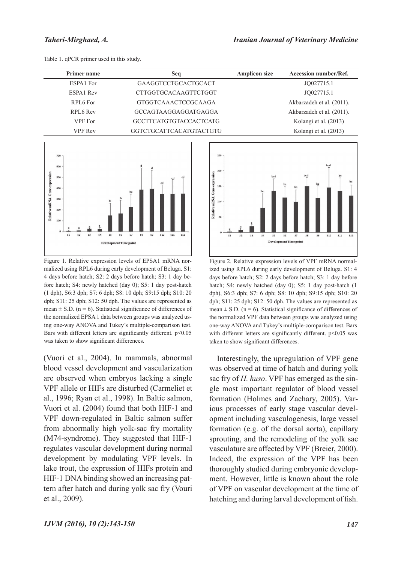| Primer name | Seq                           | <b>Amplicon size</b> | <b>Accession number/Ref.</b> |
|-------------|-------------------------------|----------------------|------------------------------|
| ESPA1 For   | GAAGGTCCTGCACTGCACT           |                      | JQ027715.1                   |
| ESPA1 Rev   | <b>CTTGGTGCACAAGTTCTGGT</b>   |                      | JQ027715.1                   |
| RPL6 For    | <b>GTGGTCAAACTCCGCAAGA</b>    |                      | Akbarzadeh et al. (2011).    |
| RPL6 Rev    | GCCAGTAAGGAGGATGAGGA          |                      | Akbarzadeh et al. (2011).    |
| VPF For     | <b>GCCTTCATGTGTACCACTCATG</b> |                      | Kolangi et al. (2013)        |
| VPF Rev     | GGTCTGCATTCACATGTACTGTG       |                      | Kolangi et al. (2013)        |

Table 1. qPCR primer used in this study.



Figure 1. Relative expression levels of EPSA1 mRNA normalized using RPL6 during early development of Beluga. S1: 4 days before hatch; S2: 2 days before hatch; S3: 1 day before hatch; S4: newly hatched (day 0); S5: 1 day post-hatch (1 dph), S6:3 dph; S7: 6 dph; S8: 10 dph; S9:15 dph; S10: 20 dph; S11: 25 dph; S12: 50 dph. The values are represented as mean  $\pm$  S.D. (n = 6). Statistical significance of differences of the normalized EPSA 1 data between groups was analyzed using one-way ANOVA and Tukey's multiple-comparison test. Bars with different letters are significantly different. p<0.05 was taken to show significant differences.

(Vuori et al., 2004). In mammals, abnormal blood vessel development and vascularization are observed when embryos lacking a single VPF allele or HIFs are disturbed (Carmeliet et al., 1996; Ryan et al., 1998). In Baltic salmon, Vuori et al. (2004) found that both HIF-1 and VPF down-regulated in Baltic salmon suffer from abnormally high yolk-sac fry mortality (M74-syndrome). They suggested that HIF-1 regulates vascular development during normal development by modulating VPF levels. In lake trout, the expression of HIFs protein and HIF-1 DNA binding showed an increasing pattern after hatch and during yolk sac fry (Vouri et al., 2009).



Figure 2. Relative expression levels of VPF mRNA normalized using RPL6 during early development of Beluga. S1: 4 days before hatch; S2: 2 days before hatch; S3: 1 day before hatch; S4: newly hatched (day 0); S5: 1 day post-hatch (1) dph), S6:3 dph; S7: 6 dph; S8: 10 dph; S9:15 dph; S10: 20 dph; S11: 25 dph; S12: 50 dph. The values are represented as mean  $\pm$  S.D. (n = 6). Statistical significance of differences of the normalized VPF data between groups was analyzed using one-way ANOVA and Tukey's multiple-comparison test. Bars with different letters are significantly different. p<0.05 was taken to show significant differences.

Interestingly, the upregulation of VPF gene was observed at time of hatch and during yolk sac fry of *H. huso*. VPF has emerged as the single most important regulator of blood vessel formation (Holmes and Zachary, 2005). Various processes of early stage vascular development including vasculogenesis, large vessel formation (e.g. of the dorsal aorta), capillary sprouting, and the remodeling of the yolk sac vasculature are affected by VPF (Breier, 2000). Indeed, the expression of the VPF has been thoroughly studied during embryonic development. However, little is known about the role of VPF on vascular development at the time of hatching and during larval development of fish.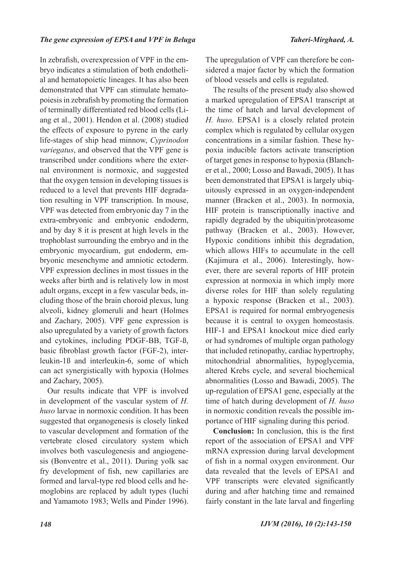In zebrafish, overexpression of VPF in the embryo indicates a stimulation of both endothelial and hematopoietic lineages. It has also been demonstrated that VPF can stimulate hematopoiesis in zebrafish by promoting the formation of terminally differentiated red blood cells (Liang et al., 2001). Hendon et al. (2008) studied the effects of exposure to pyrene in the early life-stages of ship head minnow, *Cyprinodon variegatus*, and observed that the VPF gene is transcribed under conditions where the external environment is normoxic, and suggested that the oxygen tension in developing tissues is reduced to a level that prevents HIF degradation resulting in VPF transcription. In mouse, VPF was detected from embryonic day 7 in the extra-embryonic and embryonic endoderm, and by day 8 it is present at high levels in the trophoblast surrounding the embryo and in the embryonic myocardium, gut endoderm, embryonic mesenchyme and amniotic ectoderm. VPF expression declines in most tissues in the weeks after birth and is relatively low in most adult organs, except in a few vascular beds, including those of the brain choroid plexus, lung alveoli, kidney glomeruli and heart (Holmes and Zachary, 2005). VPF gene expression is also upregulated by a variety of growth factors and cytokines, including PDGF-BB, TGF-ß, basic fibroblast growth factor (FGF-2), interleukin-1ß and interleukin-6, some of which can act synergistically with hypoxia (Holmes and Zachary, 2005).

Our results indicate that VPF is involved in development of the vascular system of *H. huso* larvae in normoxic condition. It has been suggested that organogenesis is closely linked to vascular development and formation of the vertebrate closed circulatory system which involves both vasculogenesis and angiogenesis (Bonventre et al., 2011). During yolk sac fry development of fish, new capillaries are formed and larval-type red blood cells and hemoglobins are replaced by adult types (Iuchi and Yamamoto 1983; Wells and Pinder 1996).

The upregulation of VPF can therefore be considered a major factor by which the formation of blood vessels and cells is regulated.

The results of the present study also showed a marked upregulation of EPSA1 transcript at the time of hatch and larval development of *H. huso*. EPSA1 is a closely related protein complex which is regulated by cellular oxygen concentrations in a similar fashion. These hypoxia inducible factors activate transcription of target genes in response to hypoxia (Blancher et al., 2000; Losso and Bawadi, 2005). It has been demonstrated that EPSA1 is largely ubiquitously expressed in an oxygen-independent manner (Bracken et al., 2003). In normoxia, HIF protein is transcriptionally inactive and rapidly degraded by the ubiquitin/proteasome pathway (Bracken et al., 2003). However, Hypoxic conditions inhibit this degradation, which allows HIFs to accumulate in the cell (Kajimura et al., 2006). Interestingly, however, there are several reports of HIF protein expression at normoxia in which imply more diverse roles for HIF than solely regulating a hypoxic response (Bracken et al., 2003). EPSA1 is required for normal embryogenesis because it is central to oxygen homeostasis. HIF-1 and EPSA1 knockout mice died early or had syndromes of multiple organ pathology that included retinopathy, cardiac hypertrophy, mitochondrial abnormalities, hypoglycemia, altered Krebs cycle, and several biochemical abnormalities (Losso and Bawadi, 2005). The up-regulation of EPSA1 gene, especially at the time of hatch during development of *H. huso* in normoxic condition reveals the possible importance of HIF signaling during this period.

**Conclusion:** In conclusion, this is the first report of the association of EPSA1 and VPF mRNA expression during larval development of fish in a normal oxygen environment. Our data revealed that the levels of EPSA1 and VPF transcripts were elevated significantly during and after hatching time and remained fairly constant in the late larval and fingerling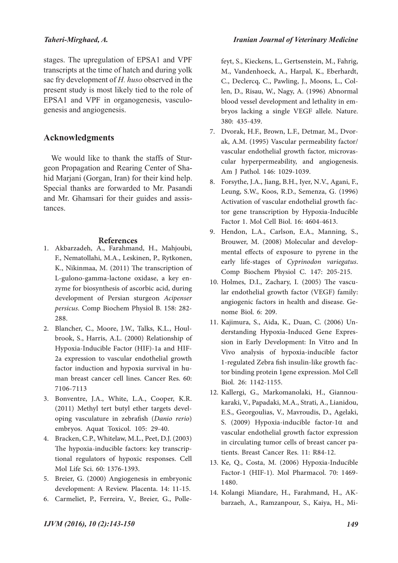### *Taheri-Mirghaed, A.*

stages. The upregulation of EPSA1 and VPF transcripts at the time of hatch and during yolk sac fry development of *H. huso* observed in the present study is most likely tied to the role of EPSA1 and VPF in organogenesis, vasculogenesis and angiogenesis.

## **Acknowledgments**

We would like to thank the staffs of Sturgeon Propagation and Rearing Center of Shahid Marjani (Gorgan, Iran) for their kind help. Special thanks are forwarded to Mr. Pasandi and Mr. Ghamsari for their guides and assistances.

#### **References**

- Akbarzadeh, A., Farahmand, H., Mahjoubi, 1. F., Nematollahi, M.A., Leskinen, P., Rytkonen, K., Nikinmaa, M. (2011) The transcription of L-gulono-gamma-lactone oxidase, a key en- zyme for biosynthesis of ascorbic acid, during development of Persian sturgeon *Acipenser persicus*. Comp Biochem Physiol B. 158: 282- 288.
- brook, S., Harris, A.L. (2000) Relationship of Hypoxia-Inducible Factor (HIF)-1a and HIF-2a expression to vascular endothelial growth factor induction and hypoxia survival in hu- man breast cancer cell lines. Cancer Res. 60: 7106-7113 2. Blancher, C., Moore, J.W., Talks, K.L., Houl-
- Bonventre, J.A., White, L.A., Cooper, K.R. 3. (2011) Methyl tert butyl ether targets devel- oping vasculature in zebrafish (*Danio rerio*) embryos. Aquat Toxicol. 105: 29-40.
- Bracken, C.P., Whitelaw, M.L., Peet, D.J. (2003) 4. The hypoxia-inducible factors: key transcrip- tional regulators of hypoxic responses. Cell Mol Life Sci. 60: 1376-1393.
- Breier, G. (2000) Angiogenesis in embryonic 5. development: A Review. Placenta. 14: 11-15.
- 6. Carmeliet, P., Ferreira, V., Breier, G., Polle-

feyt, S., Kieckens, L., Gertsenstein, M., Fahrig, M., Vandenhoeck, A., Harpal, K., Eberhardt, C., Declercq, C., Pawling, J., Moons, L., Col- len, D., Risau, W., Nagy, A. (1996) Abnormal blood vessel development and lethality in em- bryos lacking a single VEGF allele. Nature. 380: 435-439.

- ak, A.M. (1995) Vascular permeability factor/<br>vascular endothelial growth factor, microvascular hyperpermeability, and angiogenesis. Am J Pathol. 146: 1029-1039. 7. Dvorak, H.F., Brown, L.F., Detmar, M., Dvor-
- 8. Forsythe, J.A., Jiang, B.H., Iyer, N.V., Agani, F., Leung, S.W., Koos, R.D., Semenza, G. (1996) Activation of vascular endothelial growth fac-<br>tor gene transcription by Hypoxia-Inducible Factor 1. Mol Cell Biol. 16: 4604-4613.
- Hendon, L.A., Carlson, E.A., Manning, S., 9. Brouwer, M. (2008) Molecular and develop- mental effects of exposure to pyrene in the early life-stages of *Cyprinodon variegatus*. Comp Biochem Physiol C. 147: 205-215.
- lar endothelial growth factor (VEGF) family: angiogenic factors in health and disease. Ge- nome Biol. 6: 209. 10. Holmes, D.I., Zachary, I. (2005) The vascu-
- derstanding Hypoxia-Induced Gene Expression in Early Development: In Vitro and In Vivo analysis of hypoxia-inducible factor 1-regulated Zebra fish insulin-like growth fac- tor binding protein 1gene expression. Mol Cell Biol. 26: 1142-1155. 11. Kajimura, S., Aida, K., Duan, C. (2006) Un-
- karaki, V., Papadaki, M.A., Strati, A., Lianidou, E.S., Georgoulias, V., Mavroudis, D., Agelaki, S. (2009) Hypoxia-inducible factor-1α and vascular endothelial growth factor expression in circulating tumor cells of breast cancer pa- tients. Breast Cancer Res. 11: R84-12. 12. Kallergi, G., Markomanolaki, H., Giannou-
- 13. Ke, Q., Costa, M. (2006) Hypoxia-Inducible Factor-1 (HIF-1). Mol Pharmacol. 70: 1469- 1480.
- Kolangi Miandare, H., Farahmand, H., AK- barzaeh, A., Ramzanpour, S., Kaiya, H., Mi-14.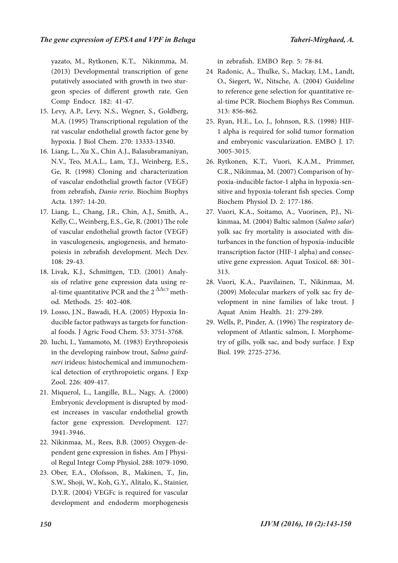yazato, M., Rytkonen, K.T., Nikinmma, M. (2013) Developmental transcription of gene putatively associated with growth in two stur- geon species of different growth rate. Gen Comp Endocr. 182: 41-47.

- Levy, A.P., Levy, N.S., Wegner, S., Goldberg, 15. M.A. (1995) Transcriptional regulation of the rat vascular endothelial growth factor gene by hypoxia. J Biol Chem. 270: 13333-13340.
- Liang, L., Xu X., Chin A.J., Balasubramaniyan, 16. N.V., Teo, M.A.L., Lam, T.J., Weinberg, E.S., Ge, R. (1998) Cloning and characterization of vascular endothelial growth factor (VEGF) from zebrafish, *Danio rerio*. Biochim Biophys Acta. 1397: 14-20.
- Liang, L., Chang, J.R., Chin, A.J., Smith, A., 17. Kelly, C., Weinberg, E.S., Ge, R. (2001) The role of vascular endothelial growth factor (VEGF) in vasculogenesis, angiogenesis, and hemato- poiesis in zebrafish development. Mech Dev. 108: 29-43.
- sis of relative gene expression data using re-<br>al-time quantitative PCR and the  $2^{-\Delta\Delta CT}$  meth-<br>od. Methods. 25: 402-408. 18. Livak, K.J., Schmittgen, T.D. (2001) Analy-
- Losso, J.N., Bawadi, H.A. (2005) Hypoxia In- ducible factor pathways as targets for function- al foods. J Agric Food Chem. 53: 3751-3768. 19.
- 20. Iuchi, I., Yamamoto, M. (1983) Erythropoiesis in the developing rainbow trout, Salmo gaird*neri* irideus: histochemical and immunochemical detection of erythropoietic organs. J Exp Zool. 226: 409-417.
- Miquerol, L., Langille, B.L., Nagy, A. (2000) 21. Embryonic development is disrupted by mod- est increases in vascular endothelial growth factor gene expression. Development. 127: 3941-3946.
- 22. Nikinmaa, M., Rees, B.B. (2005) Oxygen-dependent gene expression in fishes. Am J Physiol Regul Integr Comp Physiol. 288: 1079-1090.
- Ober, E.A., Olofsson, B., Makinen, T., Jin, 23. S.W., Shoji, W., Koh, G.Y., Alitalo, K., Stainier, D.Y.R. (2004) VEGFc is required for vascular development and endoderm morphogenesis

in zebrafish. EMBO Rep. 5: 78-84.

- 24 Radonic, A., Thulke, S., Mackay, I.M., Landt, O., Siegert, W., Nitsche, A. (2004) Guideline to reference gene selection for quantitative re- al-time PCR. Biochem Biophys Res Commun. 313: 856-862.
- 25. Ryan, H.E., Lo, J., Johnson, R.S. (1998) HIF-1 alpha is required for solid tumor formation and embryonic vascularization. EMBO J. 17: 3005-3015.
- 26. Rytkonen, K.T., Vuori, K.A.M., Primmer, C.R., Nikinmaa, M. (2007) Comparison of hy- poxia-inducible factor-1 alpha in hypoxia-sen- sitive and hypoxia-tolerant fish species. Comp Biochem Physiol D. 2: 177-186.
- kinmaa, M. (2004) Baltic salmon (*Salmo salar*) yolk sac fry mortality is associated with dis- turbances in the function of hypoxia-inducible transcription factor (HIF-1 alpha) and consec- utive gene expression. Aquat Toxicol. 68: 301- 313. 27. Vuori, K.A., Soitamo, A., Vuorinen, P.J., Ni-
- 28. Vuori, K.A., Paavilainen, T., Nikinmaa, M. (2009) Molecular markers of yolk sac fry de- velopment in nine families of lake trout. J Aquat Anim Health. 21: 279-289.
- velopment of Atlantic salmon, I. Morphome-<br>try of gills, yolk sac, and body surface. J Exp Biol. 199: 2725-2736. 29. Wells, P., Pinder, A. (1996) The respiratory de-